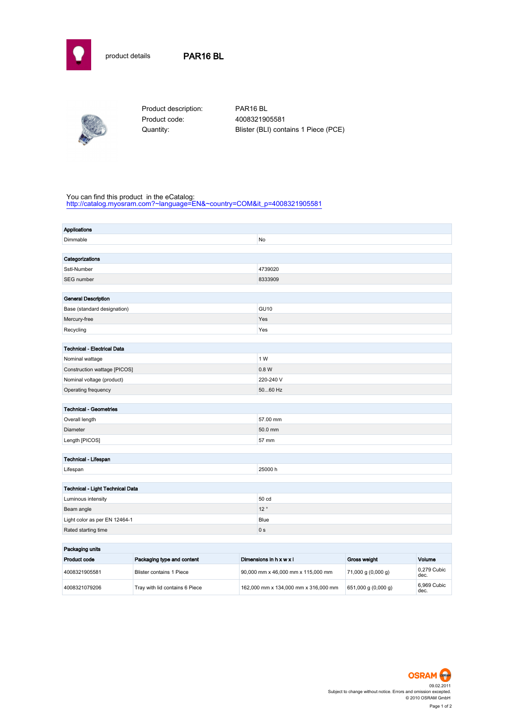



Product description: PAR16 BL Product code: 4008321905581

Quantity: Blister (BLI) contains 1 Piece (PCE)

## You can find this product in the eCatalog:

[http://catalog.myosram.com?~language=EN&~country=COM&it\\_p=4008321905581](http://catalog.myosram.com?~language=EN&~country=COM&it_p=4008321905581)

| <b>Applications</b>                |                                 |                                    |                         |                    |                     |  |
|------------------------------------|---------------------------------|------------------------------------|-------------------------|--------------------|---------------------|--|
| Dimmable                           |                                 |                                    | No                      |                    |                     |  |
|                                    |                                 |                                    |                         |                    |                     |  |
| Categorizations                    |                                 |                                    |                         |                    |                     |  |
| Sstl-Number                        |                                 |                                    | 4739020                 |                    |                     |  |
| SEG number                         |                                 |                                    | 8333909                 |                    |                     |  |
|                                    |                                 |                                    |                         |                    |                     |  |
| <b>General Description</b>         |                                 |                                    |                         |                    |                     |  |
| Base (standard designation)        |                                 |                                    | <b>GU10</b>             |                    |                     |  |
| Mercury-free                       |                                 |                                    | Yes                     |                    |                     |  |
| Recycling                          |                                 | Yes                                |                         |                    |                     |  |
|                                    |                                 |                                    |                         |                    |                     |  |
| <b>Technical - Electrical Data</b> |                                 |                                    |                         |                    |                     |  |
| Nominal wattage                    |                                 |                                    | 1 W                     |                    |                     |  |
| Construction wattage [PICOS]       |                                 |                                    | 0.8 W                   |                    |                     |  |
| Nominal voltage (product)          |                                 |                                    | 220-240 V               |                    |                     |  |
| Operating frequency                |                                 |                                    | 5060 Hz                 |                    |                     |  |
|                                    |                                 |                                    |                         |                    |                     |  |
| <b>Technical - Geometries</b>      |                                 |                                    |                         |                    |                     |  |
| Overall length                     |                                 |                                    | 57.00 mm                |                    |                     |  |
| Diameter                           |                                 |                                    | 50.0 mm                 |                    |                     |  |
| Length [PICOS]                     |                                 |                                    | 57 mm                   |                    |                     |  |
|                                    |                                 |                                    |                         |                    |                     |  |
| Technical - Lifespan               |                                 |                                    |                         |                    |                     |  |
| Lifespan                           |                                 |                                    | 25000h                  |                    |                     |  |
| Technical - Light Technical Data   |                                 |                                    |                         |                    |                     |  |
| Luminous intensity                 |                                 |                                    | 50 cd                   |                    |                     |  |
|                                    |                                 |                                    | 12°                     |                    |                     |  |
| Beam angle                         |                                 |                                    | Blue                    |                    |                     |  |
| Light color as per EN 12464-1      |                                 |                                    |                         |                    |                     |  |
| Rated starting time                |                                 |                                    | 0 s                     |                    |                     |  |
| Packaging units                    |                                 |                                    |                         |                    |                     |  |
| Product code                       | Packaging type and content      |                                    | Dimensions in h x w x l | Gross weight       | Volume              |  |
| 4008321905581                      | <b>Blister contains 1 Piece</b> | 90,000 mm x 46,000 mm x 115,000 mm |                         | 71,000 g (0,000 g) | 0,279 Cubic<br>dec. |  |

4008321079206 Tray with lid contains 6 Piece 162,000 mm x 134,000 mm x 316,000 mm 651,000 g (0,000 g)



6,969 Cubic<br>dec.